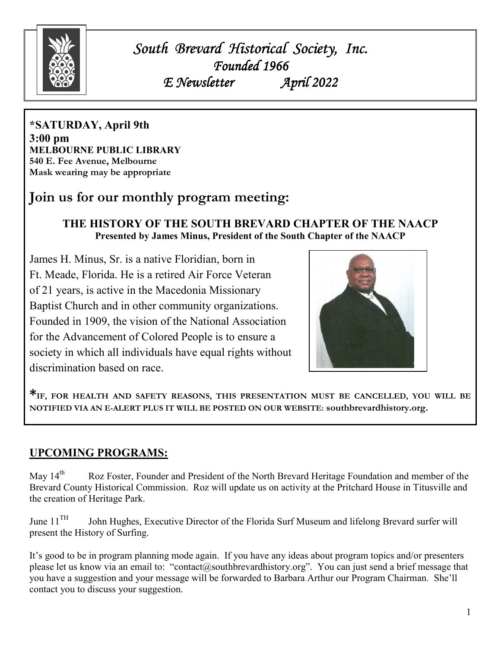

*South Brevard Historical Society, Inc. Brevard Historical Inc. Founded 1966 E. Newsletter* 

**\*SATURDAY, April 9th 3:00 pm MELBOURNE PUBLIC LIBRARY 540 E. Fee Avenue, Melbourne Mask wearing may be appropriate** 

# **Join us for our monthly program meeting:**

#### **THE HISTORY OF THE SOUTH BREVARD CHAPTER OF THE NAACP Presented by James Minus, President of the South Chapter of the NAACP**

James H. Minus, Sr. is a native Floridian, born in Ft. Meade, Florida. He is a retired Air Force Veteran of 21 years, is active in the Macedonia Missionary Baptist Church and in other community organizations. Founded in 1909, the vision of the National Association for the Advancement of Colored People is to ensure a society in which all individuals have equal rights without discrimination based on race.



**\*IF, FOR HEALTH AND SAFETY REASONS, THIS PRESENTATION MUST BE CANCELLED, YOU WILL BE NOTIFIED VIA AN E-ALERT PLUS IT WILL BE POSTED ON OUR WEBSITE: southbrevardhistory.org.** 

### **UPCOMING PROGRAMS:**

May 14<sup>th</sup> Roz Foster, Founder and President of the North Brevard Heritage Foundation and member of the Brevard County Historical Commission. Roz will update us on activity at the Pritchard House in Titusville and the creation of Heritage Park.

June 11<sup>TH</sup> John Hughes, Executive Director of the Florida Surf Museum and lifelong Brevard surfer will present the History of Surfing.

It's good to be in program planning mode again. If you have any ideas about program topics and/or presenters please let us know via an email to: "contact@southbrevardhistory.org". You can just send a brief message that you have a suggestion and your message will be forwarded to Barbara Arthur our Program Chairman. She'll contact you to discuss your suggestion.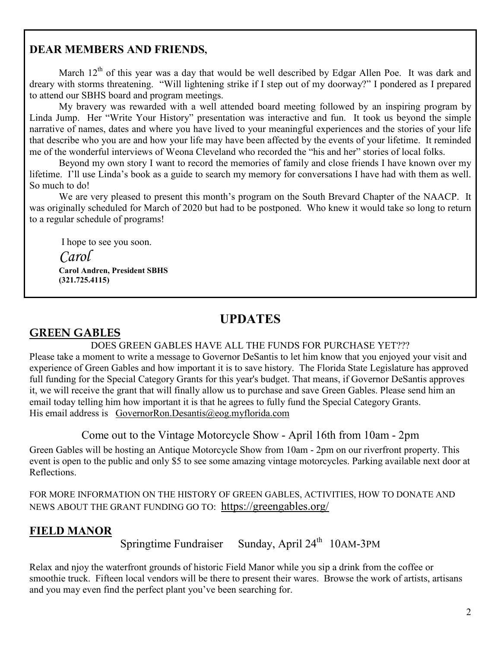### **DEAR MEMBERS AND FRIENDS,**

March  $12<sup>th</sup>$  of this year was a day that would be well described by Edgar Allen Poe. It was dark and dreary with storms threatening. "Will lightening strike if I step out of my doorway?" I pondered as I prepared to attend our SBHS board and program meetings.

 My bravery was rewarded with a well attended board meeting followed by an inspiring program by Linda Jump. Her "Write Your History" presentation was interactive and fun. It took us beyond the simple narrative of names, dates and where you have lived to your meaningful experiences and the stories of your life that describe who you are and how your life may have been affected by the events of your lifetime. It reminded me of the wonderful interviews of Weona Cleveland who recorded the "his and her" stories of local folks.

 Beyond my own story I want to record the memories of family and close friends I have known over my lifetime. I'll use Linda's book as a guide to search my memory for conversations I have had with them as well. So much to do!

 We are very pleased to present this month's program on the South Brevard Chapter of the NAACP. It was originally scheduled for March of 2020 but had to be postponed. Who knew it would take so long to return to a regular schedule of programs!

I hope to see you soon.

 *Carol*  **Carol Andren, President SBHS (321.725.4115)** 

## **UPDATES**

## **GREEN GABLES**

DOES GREEN GABLES HAVE ALL THE FUNDS FOR PURCHASE YET???

Please take a moment to write a message to Governor DeSantis to let him know that you enjoyed your visit and experience of Green Gables and how important it is to save history. The Florida State Legislature has approved full funding for the Special Category Grants for this year's budget. That means, if Governor DeSantis approves it, we will receive the grant that will finally allow us to purchase and save Green Gables. Please send him an email today telling him how important it is that he agrees to fully fund the Special Category Grants. His email address is GovernorRon.Desantis@eog.myflorida.com

Come out to the Vintage Motorcycle Show - April 16th from 10am - 2pm

Green Gables will be hosting an Antique Motorcycle Show from 10am - 2pm on our riverfront property. This event is open to the public and only \$5 to see some amazing vintage motorcycles. Parking available next door at Reflections.

FOR MORE INFORMATION ON THE HISTORY OF GREEN GABLES, ACTIVITIES, HOW TO DONATE AND NEWS ABOUT THE GRANT FUNDING GO TO: https://greengables.org/

## **FIELD MANOR**

Springtime Fundraiser Sunday, April  $24<sup>th</sup> 10$ AM-3PM

Relax and njoy the waterfront grounds of historic Field Manor while you sip a drink from the coffee or smoothie truck. Fifteen local vendors will be there to present their wares. Browse the work of artists, artisans and you may even find the perfect plant you've been searching for.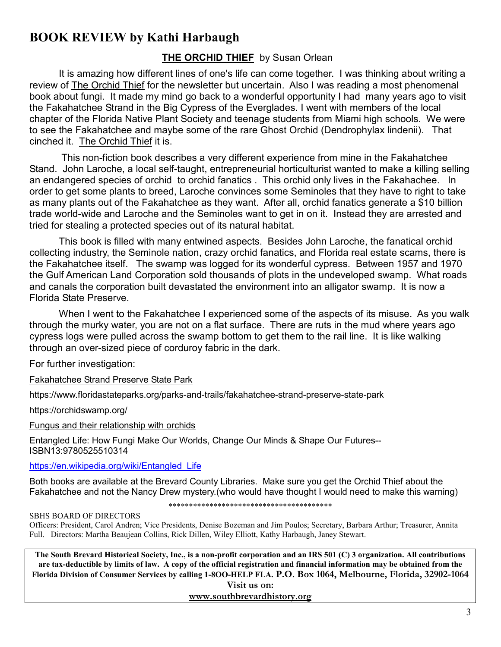# **BOOK REVIEW by Kathi Harbaugh**

#### **THE ORCHID THIEF** by Susan Orlean

 It is amazing how different lines of one's life can come together. I was thinking about writing a review of The Orchid Thief for the newsletter but uncertain. Also I was reading a most phenomenal book about fungi. It made my mind go back to a wonderful opportunity I had many years ago to visit the Fakahatchee Strand in the Big Cypress of the Everglades. I went with members of the local chapter of the Florida Native Plant Society and teenage students from Miami high schools. We were to see the Fakahatchee and maybe some of the rare Ghost Orchid (Dendrophylax lindenii). That cinched it. The Orchid Thief it is.

 This non-fiction book describes a very different experience from mine in the Fakahatchee Stand. John Laroche, a local self-taught, entrepreneurial horticulturist wanted to make a killing selling an endangered species of orchid to orchid fanatics . This orchid only lives in the Fakahachee. In order to get some plants to breed, Laroche convinces some Seminoles that they have to right to take as many plants out of the Fakahatchee as they want. After all, orchid fanatics generate a \$10 billion trade world-wide and Laroche and the Seminoles want to get in on it. Instead they are arrested and tried for stealing a protected species out of its natural habitat.

 This book is filled with many entwined aspects. Besides John Laroche, the fanatical orchid collecting industry, the Seminole nation, crazy orchid fanatics, and Florida real estate scams, there is the Fakahatchee itself. The swamp was logged for its wonderful cypress. Between 1957 and 1970 the Gulf American Land Corporation sold thousands of plots in the undeveloped swamp. What roads and canals the corporation built devastated the environment into an alligator swamp. It is now a Florida State Preserve.

 When I went to the Fakahatchee I experienced some of the aspects of its misuse. As you walk through the murky water, you are not on a flat surface. There are ruts in the mud where years ago cypress logs were pulled across the swamp bottom to get them to the rail line. It is like walking through an over-sized piece of corduroy fabric in the dark.

For further investigation:

#### Fakahatchee Strand Preserve State Park

https://www.floridastateparks.org/parks-and-trails/fakahatchee-strand-preserve-state-park

https://orchidswamp.org/

Fungus and their relationship with orchids

Entangled Life: How Fungi Make Our Worlds, Change Our Minds & Shape Our Futures-- ISBN13:9780525510314

#### https://en.wikipedia.org/wiki/Entangled\_Life

Both books are available at the Brevard County Libraries. Make sure you get the Orchid Thief about the Fakahatchee and not the Nancy Drew mystery.(who would have thought I would need to make this warning)

\*\*\*\*\*\*\*\*\*\*\*\*\*\*\*\*\*\*\*\*\*\*\*\*\*\*\*\*\*\*\*\*\*\*\*\*\*\*\*\*

SBHS BOARD OF DIRECTORS

Officers: President, Carol Andren; Vice Presidents, Denise Bozeman and Jim Poulos; Secretary, Barbara Arthur; Treasurer, Annita Full. Directors: Martha Beaujean Collins, Rick Dillen, Wiley Elliott, Kathy Harbaugh, Janey Stewart.

**The South Brevard Historical Society, Inc., is a non-profit corporation and an IRS 501 (C) 3 organization. All contributions are tax-deductible by limits of law. A copy of the official registration and financial information may be obtained from the Florida Division of Consumer Services by calling 1-8OO-HELP FLA. P.O. Box 1064, Melbourne, Florida, 32902-1064** 

> **Visit us on: www.southbrevardhistory.org**